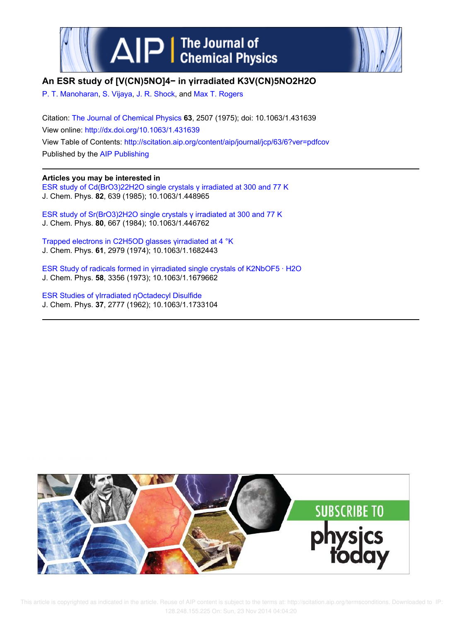



# **An ESR study of [V(CN)5NO]4− in γirradiated K3V(CN)5NO2H2O**

P. T. Manoharan, S. Vijaya, J. R. Shock, and Max T. Rogers

Citation: The Journal of Chemical Physics **63**, 2507 (1975); doi: 10.1063/1.431639 View online: http://dx.doi.org/10.1063/1.431639 View Table of Contents: http://scitation.aip.org/content/aip/journal/jcp/63/6?ver=pdfcov Published by the AIP Publishing

# **Articles you may be interested in**

ESR study of Cd(BrO3)22H2O single crystals γ irradiated at 300 and 77 K J. Chem. Phys. **82**, 639 (1985); 10.1063/1.448965

ESR study of Sr(BrO3)2H2O single crystals γ irradiated at 300 and 77 K J. Chem. Phys. **80**, 667 (1984); 10.1063/1.446762

Trapped electrons in C2H5OD glasses γirradiated at 4 °K J. Chem. Phys. **61**, 2979 (1974); 10.1063/1.1682443

ESR Study of radicals formed in γirradiated single crystals of K2NbOF5 · H2O J. Chem. Phys. **58**, 3356 (1973); 10.1063/1.1679662

ESR Studies of γIrradiated ηOctadecyl Disulfide J. Chem. Phys. **37**, 2777 (1962); 10.1063/1.1733104



 This article is copyrighted as indicated in the article. Reuse of AIP content is subject to the terms at: http://scitation.aip.org/termsconditions. Downloaded to IP: 128.248.155.225 On: Sun, 23 Nov 2014 04:04:20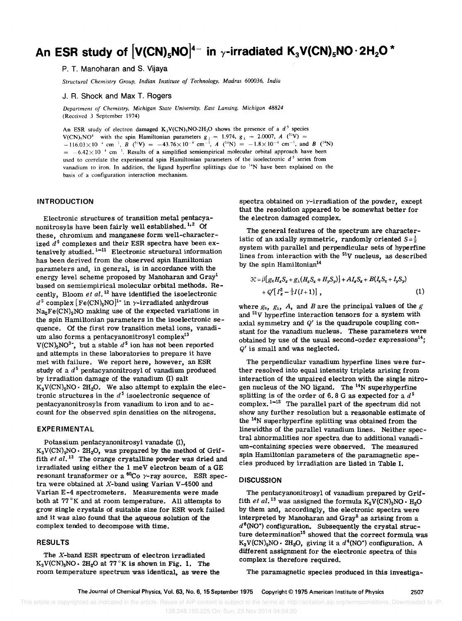# An ESR study of  $[V(CN)_5NO]^{4-}$  in  $\gamma$ -irradiated  $K_3 V(CN)_5NO \cdot 2H_2O$  \*

P. T. Manoharan and S. Vijaya

*Structural Chemistry Group, Indian Institute of Technology, Madras 600036, India* 

J. R. Shock and Max T. Rogers

*Department of Chemistry, Michigan State University, East Lansing, Michigan 48824*  (Received 3 September 1974)

An ESR study of electron damaged  $K_3V(CN)_5NO·2H_2O$  shows the presence of a  $d^5$  species  $V(CN)$ , NO<sup>4</sup> with the spin Hamiltonian parameters  $g_{\parallel} = 1.974$ ,  $g_{\perp} = 2.0007$ ,  $A(^{31}V) =$  $-116.03\times10^{-4}$  cm <sup>1</sup>, *B*  $(^{51}V) = -43.76\times10^{-4}$  cm<sup>-1</sup>, *A*  $(^{14}N) = -1.8\times10^{-4}$  cm<sup>-1</sup>, and *B*  $(^{14}N)$  $= -6.42 \times 10^{-4}$  cm<sup>-1</sup>. Results of a simplified semiempirical molecular orbital approach have been used to correlate the experimental spin Hamiltonian parameters of the isoelectronic *d* 5 series from vanadium to iron. In addition, the ligand hyperfine splittings due to <sup>14</sup>N have been explained on the basis of a configuration interaction mechanism.

## **INTRODUCTION**

Electronic structures of transition metal pentacyanonitrosyls have been fairly well established.<sup>1,2</sup> Of these, chromium and manganese form well-character $i$ zed  $d$ <sup>5</sup> complexes and their ESR spectra have been extensively studied.<sup>1-11</sup> Electronic structural information has been derived from the observed spin Hamiltonian parameters and, in general, is in accordance with the energy level scheme proposed by Manoharan and Gray<sup>1</sup> based on semiempirical molecular orbital methods. Recently, Bloom *et al. <sup>12</sup>*have identified the isoelectronic  $d^5$  complex  $[Fe(CN)_5NO]^T$  in  $\gamma$ -irradiated anhydrous  $Na<sub>2</sub>Fe(CN)<sub>5</sub>NO$  making use of the expected variations in the spin Hamiltonian parameters in the isoelectronic sequence. Of the first row transition metal ions, vanadium also forms a pentacyanonitrosyl complex<sup>13</sup>  $V(CN)_{5}NO^{3}$ , but a stable  $d^{5}$  ion has not been reported and attempts in these laboratories to prepare it have met with failure. We report here, however, an ESR study of a  $d^5$  pentacyanonitrosyl of vanadium produced by irradiation damage of the vanadium (I) salt  $K_3V(CN)_5NO \cdot 2H_2O$ . We also attempt to explain the electronic structures in the  $d^5$  isoelectronic sequence of pentacyanonitrosyls from vanadium to iron and to account for the observed spin densities on the nitrogens.

## **EXPERIMENTAL**

Potassium pentacyanonitrosyl vanadate (I),  $K_3V(CN)$ <sub>5</sub>NO  $\cdot$  2H<sub>2</sub>O, was prepared by the method of Griffith *et al.*<sup>13</sup> The orange crystalline powder was dried and irradiated using either the 1 meV electron beam of aGE resonant transformer or a  $^{60}$ Co  $\gamma$ -ray source. ESR spectra were obtained at X-band using Varian V -4500 and Varian E-4 spectrometers. Measurements were made both at 77°K and at room temperature. All attempts to grow single crystals of suitable size for ESR work failed and it was also found that the aqueous solution of the complex tended to decompose with time.

#### **RESULTS**

The X-band ESR spectrum of electron irradiated  $K_3 V(CN)_5 NO \cdot 2H_2 O$  at 77°K is shown in Fig. 1. The room temperature spectrum was identical, as were the spectra obtained on  $\gamma$ -irradiation of the powder, except that the resolution appeared to be somewhat better for the electron damaged complex.

The general features of the spectrum are characteristic of an axially symmetric, randomly oriented  $S=\frac{1}{2}$ system with parallel and perpendicular sets of hyperfine lines from interaction with the  $51V$  nucleus, as described by the spin Hamiltonian<sup>14</sup>

$$
\mathcal{H} = \beta [g_{\parallel} H_{z} S_{z} + g_{\perp} (H_{x} S_{x} + H_{y} S_{y})] + A I_{z} S_{z} + B (I_{x} S_{x} + I_{y} S_{y}) \n+ Q' [I_{z}^{2} - \frac{1}{3} I (I+1)] , \qquad (1)
$$

where  $g_{\parallel}$ ,  $g_{\perp}$ ,  $A$ , and  $B$  are the principal values of the  $g$ and  $51V$  hyperfine interaction tensors for a system with axial symmetry and *Q'* is the quadrupole coupling constant for the vanadium nucleus. These parameters were obtained by use of the usual second-order  $\text{expressions}^{14}$ : *Q'* is small and was neglected.

The perpendicular vanadium hyperfine lines were further resolved into equal intensity triplets arising from interaction of the unpaired electron with the single nitrogen nucleus of the NO ligand. The  $^{14}N$  superhyperfine splitting is of the order of  $6.8$  G as expected for a  $d^5$  $complex.$ <sup>1-12</sup> The parallel part of the spectrum did not show any further resolution but a reasonable estimate of the 14N superhyperfine splitting was obtained from the linewidths of the parallel vanadium lines. Neither spectral abnormalities nor spectra due to additional vanadium-containing species were observed. The measured spin Hamiltonian parameters of the paramagnetic species produced by irradiation are listed in Table I.

#### **DISCUSSION**

The pentacyanonitrosyl of vanadium prepared by Griffith *et al.*<sup>13</sup> was assigned the formula  $K_5V(CN)_5NO \cdot H_2O$ by them and, accordingly, the electronic spectra were interpreted by Manoharan and Gray<sup>2</sup> as arising from a  $d^6$ (NO<sup>+</sup>) configuration. Subsequently the crystal structure determination<sup>15</sup> showed that the correct formula was  $K_3 V(CN)_5 NO \cdot 2H_2O$ , giving it a  $d^4 (NO^+)$  configuration. A different assignment for the electronic spectra of this complex is therefore required.

The paramagnetic species produced in this investiga-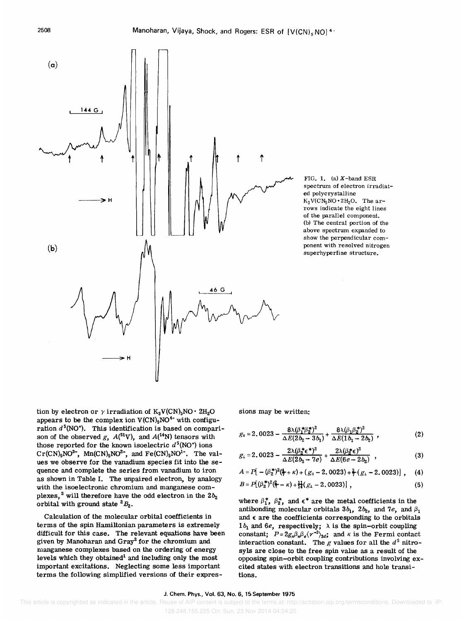

FIG. 1. (a)  $X$ -band ESR spectrum of electron irradiated polycrystalline  $K_3 V(CN_5NO \cdot 2H_2O$ . The arrows indicate the eight lines of the parallel component. (b) The central portion of the above spectrum expanded to show the perpendicular component with resolved nitrogen superhyperfine structure.

tion by electron or  $\gamma$  irradiation of  $K_3 V(CN)_5 NO \cdot 2H_2 O$ appears to be the complex ion  $V(CN)_5NO^{4-}$  with configuration  $d^5(NO^*)$ . This identification is based on comparison of the observed *g*,  $A^{(51}V)$ , and  $A^{(14}N)$  tensors with those reported for the known isoelectric  $d^5(NO^+)$  ions  $Cr(CN)_5\text{NO}^{3-}$ , Mn(CN)<sub>5</sub>NO<sup>2</sup>-, and Fe(CN)<sub>5</sub>NO<sup>1</sup>-. The values we observe for the vanadium species fit into the sequence and complete the series from vanadium to iron as shown in Table I. The unpaired electron, by analogy with the isoelectronic chromium and manganese complexes,<sup>2</sup> will therefore have the odd electron in the  $2b_2$ orbital with ground state  ${}^2B_2$ .

Calculation of the molecular orbital coefficients in terms of the spin Hamiltonian parameters is extremely difficult for this case. The relevant equations have been given by Manoharan and Gray<sup>2</sup> for the chromium and manganese complexes based on the ordering of energy levels which they obtained<sup>1</sup> and including only the most important excitations. Neglecting some less important terms the following simplified versions of their expressions may be written:

$$
g_{\parallel} = 2.0023 - \frac{8\lambda(\beta_1^* \beta_2^*)^2}{\Delta E(2b_2 - 3b_1)} + \frac{8\lambda(\beta_1 \beta_2^*)^2}{\Delta E(1b_1 - 2b_2)} , \qquad (2)
$$

$$
g_{\perp} = 2.0023 - \frac{2\lambda(\beta_2^* \epsilon^*)^2}{\Delta E(2b_2 - 7e)} + \frac{2\lambda(\beta_2^* \epsilon)^2}{\Delta E(6e - 2b_2)}, \qquad (3)
$$

$$
A = P[-(\beta_2^*)^2(\frac{4}{7}+\kappa) + (g_1-2.0023) + \frac{3}{7}(g_1-2.0023)] , \quad (4)
$$

$$
B = P[(\beta_2^*)^2(\frac{\alpha_2}{7} - \kappa) + \frac{11}{14}(g_1 - 2.0023)],
$$
\n(5)

where  $\beta_1^*, \beta_2^*$ , and  $\epsilon^*$  are the metal coefficients in the antibonding molecular orbitals  $3b_1$ ,  $2b_2$ , and  $7e$ , and  $\beta_1$ and  $\epsilon$  are the coefficients corresponding to the orbitals  $1b_1$  and  $6e$ , respectively;  $\lambda$  is the spin-orbit coupling constant;  $P = 2g_n \beta_n \beta_e \langle r^{-3} \rangle_{3d}$ ; and *K* is the Fermi contact interaction constant. The  $g$  values for all the  $d^5$  nitrosyls are close to the free spin value as a result of the opposing spin-orbit coupling contributions involving excited states with electron transitions and hole transitions.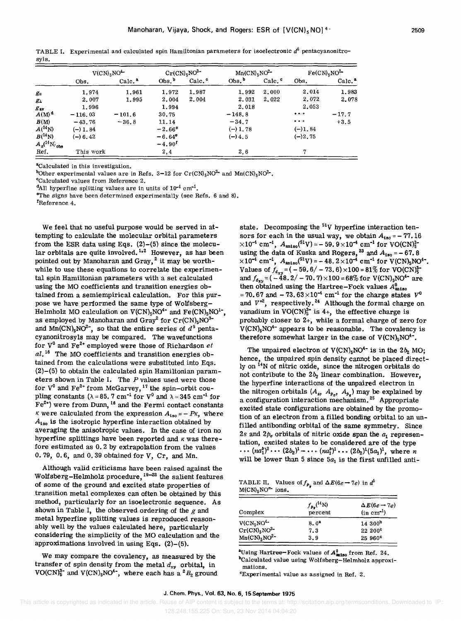|                                   | $V(CN)$ <sub>5</sub> NO <sup>4</sup> |                    | $Cr(CN)_5NO^{3-}$ |                    | $Mn(CN)_{5}NO^{2-}$ |       | $Fe(CN)_{5}NO^{1-}$                                                      |                    |
|-----------------------------------|--------------------------------------|--------------------|-------------------|--------------------|---------------------|-------|--------------------------------------------------------------------------|--------------------|
|                                   | Obs.                                 | Calc. <sup>2</sup> | Obs <sup>b</sup>  | Calc. <sup>c</sup> | Obs. <sup>b</sup>   | Calc. | Obs.                                                                     | Calc. <sup>2</sup> |
| $g_{\scriptscriptstyle\parallel}$ | 1.974                                | 1.961              | 1,972             | 1.987              | 1.992               | 2.000 | 2.014                                                                    | 1.983              |
| 81                                | 2.007                                | 1.995              | 2.004             | 2,004              | 2,031               | 2.022 | 2.072                                                                    | 2.078              |
| $g_{\rm av}$                      | 1.996                                |                    | 1.994             |                    | 2.018               |       | 2.053                                                                    |                    |
| $A(M)^d$                          | $-116.03$                            | $-101.6$           | 30.75             |                    | $-148.8$            |       | $\bullet\bullet\bullet$                                                  | $-17.7$            |
| B(M)                              | $-43.76$                             | $-36.8$            | 11.14             |                    | $-34.7$             |       | $\bullet\hspace{0.4mm}\bullet\hspace{0.4mm}\bullet\hspace{0.4mm}\bullet$ | $+3.5$             |
| $A(^{14}N)$                       | $(-) 1.84$                           |                    | $-2.66^{\circ}$   |                    | $(-) 1.78$          |       | $(-)1.84$                                                                |                    |
| $B({}^{14}N)$                     | $(-) 6.42$                           |                    | $-6.64^{\circ}$   |                    | $(-)$ 4.5           |       | $(-)2, 75$                                                               |                    |
| $A_s(^{14}N)_{obs}$               |                                      |                    | $-4.90^{t}$       |                    |                     |       |                                                                          |                    |
| Ref.                              | This work                            |                    | 2,4               |                    | 2,6                 |       | 7                                                                        |                    |

TABLE I. Experimental and calculated spin Hamiltonian parameters for isoelectronic  $d^6$  pentacyanonitrosyJs.

<sup>a</sup>Calculated in this investigation.

bOther experimental values are in Refs. 3-12 for  $Cr(CN)5NO^{2-}$  and  $Mn(CN)5NO^{2-}$ .

cCalculated values from Reference 2.

 $d$ All hyperfine splitting values are in units of  $10^{-4}$  cm<sup>-1</sup>.

 $^{\circ}$ The signs have been determined experimentally (see Refs. 6 and 8).

fReference 4.

We feel that no useful purpose would be served in attempting to calculate the molecular orbital parameters from the ESR data using Eqs.  $(2)-(5)$  since the molecular orbitals are quite involved.  $1.2$  However, as has been pointed out by Manoharan and Gray,<sup>2</sup> it may be worthwhile to use these equations to correlate the experimental spin Hamiltonian parameters with a set calculated using the MO coefficients and transition energies obtained from a semiempirical calculation. For this purpose we have performed the same type of Wolfsberg-Helmholz MO calculation on  $V(CN)_5NO^{4-}$  and  $Fe(CN)_5NO^{1-}$ , as employed by Manoharan and Gray<sup>2</sup> for  $Cr(CN)_5NO^{3-}$ and  $\text{Mn}(\text{CN})_5 \text{NO}^2$ , so that the entire series of  $d^5$  pentacyanonitrosyls may be compared. The wavefunctions for  $V^0$  and  $Fe^{2+}$  employed were those of Richardson  $et$ al.<sup>16</sup> The MO coefficients and transition energies obtained from the calculations were substituted into Eqs.  $(2)$ - $(5)$  to obtain the calculated spin Hamiltonian parameters shown in Table I. The *P* values used were those for  $V^0$  and  $Fe^{2+}$  from McGarvey,  $^{17}$  the spin-orbit coupling constants ( $\lambda = 85.7$  cm<sup>-1</sup> for V<sup>0</sup> and  $\lambda = 345$  cm<sup>-1</sup> for  $\mathbf{F}e^{2\star}$ ) were from Dunn, <sup>18</sup> and the Fermi contact constants *K* were calculated from the expression  $A_{1so} = -PK$ , where  $A_{iso}$  is the isotropic hyperfine interaction obtained by averaging the anisotropic values. In the case of iron no hyperfine splittings have been reported and *K* was therefore estimated as O. 2 by extrapolation from the values 0.79, 0.6, and 0.39 obtained for V, Cr, and Mn.

Although valid criticisms have been raised against the Wolfsberg-Helmholz procedure, <sup>19-22</sup> the salient features of some of the ground and excited state properties of transition metal complexes can often be obtained by this method, particularly for an isoelectronic sequence. As shown in Table I, the observed ordering of the *g* and metal hyperfine splitting values is reproduced reasonably well by the values calculated here, particularly considering the simplicity of the MO calculation and the approximations involved in using Eqs.  $(2)-(5)$ .

We may compare the covalency, as measured by the transfer of spin density from the metal  $d_{xy}$  orbital, in VO(CN)<sup>3-</sup> and V(CN)<sub>5</sub>NO<sup>4-</sup>, where each has a <sup>2</sup> $B_2$  ground state. Decomposing the  $51V$  hyperfine interaction tensors for each in the usual way, we obtain  $A_{iso} = -77.16$  $\times 10^{-4}$  cm<sup>-1</sup>,  $A_{\text{aniso}}({}^{51}V) = -59.9 \times 10^{-4}$  cm<sup>-1</sup> for using the data of Kuska and Rogers, <sup>23</sup> and  $A_{180} = -67.8$ <br> $\times 10^{-4}$  cm<sup>-1</sup>,  $A_{\text{aniso}}({}^{51}V) = -48.2 \times 10^{-4}$  cm<sup>-1</sup> for V(CN)<sub>5</sub>NO<sup>4-</sup>. Values of  $f_{4xy} = (-59.6 / -73.6) \times 100 = 81\%$  for and  $f_{d_{xy}} = (-48.2 - 70.7) \times 100 = 68\%$  for V(CN)<sub>5</sub>NO<sup>4-</sup> are then obtained using the Hartree-Fock values  $A_{\text{aniso}}^0$  $=70.67$  and  $-73.63 \times 10^{-4}$  cm<sup>-1</sup> for the charge states  $V^0$ and  $V^{*2}$ , respectively.<sup>24</sup> Although the formal charge on vanadium in  $VO(CN)_5^{3-}$  is 4+, the effective charge is probably closer to 2+, while a formal charge of zero for  $V(CN)_{5}NO^{4-}$  appears to be reasonable. The covalency is therefore somewhat larger in the case of  $V(CN)_{5}NO^{4-}$ .

The unpaired electron of  $V(CN)_{5}NO^{4-}$  is in the  $2b_{2} MO$ ; hence, the unpaired spin density cannot be placed directly on <sup>14</sup>N of nitric oxide, since the nitrogen orbitals do not contribute to the *2bz* linear combination. However, the hyperfine interactions of the unpaired electron in the nitrogen orbitals  $(A_s, A_{\rho_a}, A_{\rho_a})$  may be explained by a configuration interaction mechanism.<sup>25</sup> Appropriate excited state configurations are obtained by the promotion of an electron from a filled bonding orbital to an unfilled antibonding orbital of the same symmetry. Since 2s and  $2p_{\sigma}$  orbitals of nitric oxide span the  $a_1$  representation, excited states to be considered are of the type  $\cdots$   $(na_1^b)^2 \cdots (2b_2)^1 \cdots (na_1^b)^1 \cdots (2b_2)^1 (5a_1)^1$ , where *n* will be lower than 5 since  $5a_1$  is the first unfilled anti-

TABLE II. Values of  $f_{p_*}$  and  $\Delta E(6e-7e)$  in  $d^5$  $M(CN)$ <sub>5</sub>NO<sup>n</sup> ions.

| Complex                                 | $f_{p_{\pi}}^{(14)}$ N)<br>percent | $\Delta E(6e-7e)$<br>$(in cm-1)$ |
|-----------------------------------------|------------------------------------|----------------------------------|
| $V(CN_5NO4$                             | 8.0 <sup>2</sup>                   | 14.300 <sup>b</sup>              |
| $Cr(CN)_{5}NO^{3-}$                     | 7.3                                | 22 200°                          |
| $Mn(CN)$ <sub>5</sub> NO <sup>2</sup> - | 3.9                                | 25960°                           |

<sup>a</sup>Using Hartree-Fock values of  $A^0_{\text{aniso}}$  from Ref. 24. bCalculated value using Wolfsberg-Helmholz approximations.

cExperimental value as assigned in Ref. 2.